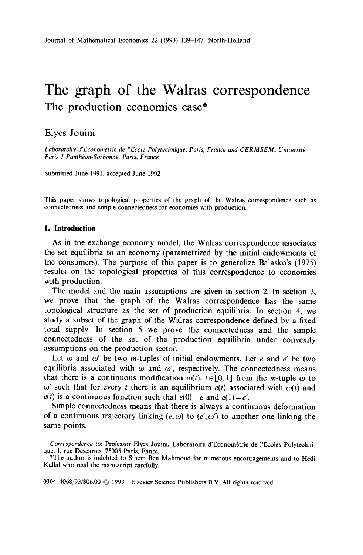# The graph of the Walras correspondence The production economies case\*

# Elyes Jouini

Laboratoire d'Econometrie de l'Ecole Polytechnique, Paris, France and CERMSEM, Université *Paris I Panthéon-Sorbonne, Paris, France* 

Submitted June 1991, accepted June 1992

This paper shows topological properties of the graph of the Walras correspondence such as connectedness and simple connectedness for economies with production.

## **1. Introduction**

As in the exchange economy model, the Walras correspondence associates the set equilibria to an economy (parametrized by the initial endowments of the consumers). The purpose of this paper is to generalize Balasko's (1975) results on the topological properties of this correspondence to economies with production.

The model and the main assumptions are given in section 2. In section 3, we prove that the graph of the Walras correspondence has the same topological structure as the set of production equilibria. In section 4, we study a subset of the graph of the Walras correspondence defined by a fixed total supply. In section 5 we prove the connectedness and the simple connectedness of the set of the production equilibria under convexity assumptions on the production sector.

Let  $\omega$  and  $\omega'$  be two *m*-tuples of initial endowments. Let e and e' be two equilibria associated with  $\omega$  and  $\omega'$ , respectively. The connectedness means that there is a continuous modification  $\omega(t)$ ,  $t \in [0, 1]$  from the *m*-tuple  $\omega$  to  $\omega'$  such that for every t there is an equilibrium  $e(t)$  associated with  $\omega(t)$  and  $e(t)$  is a continuous function such that  $e(0) = e$  and  $e(1) = e'$ .

Simple connectedness means that there is always a continuous deformation of a continuous trajectory linking  $(e, \omega)$  to  $(e', \omega')$  to another one linking the same points,

0304-4068/93/\$06.00 © 1993-Elsevier Science Publishers B.V. All rights reserved

Correspondence to: Professor Elyes Jouini, Laboratoire d'Econométrie de l'Ecoles Polytechni**que,** 1, rue Descartes, 75005 Paris, Fance.

<sup>\*</sup>The author is indebted to Sihem Ben Mahmoud for numerous encouragements and to Hedi Kallal who read the manuscript carefully.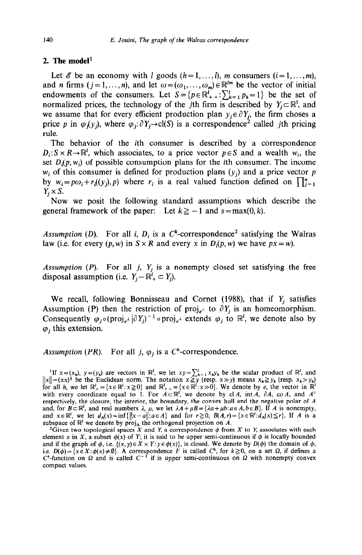### 2. The model $<sup>1</sup>$ </sup>

Let  $\mathscr E$  be an economy with *l* goods  $(h = 1, \ldots, l)$ , *m* consumers  $(i = 1, \ldots, m)$ , and *n* firms  $(j = 1, ..., n)$ , and let  $\omega = (\omega_1, ..., \omega_m) \in \mathbb{R}^{lm}$  be the vector of initial endowments of the consumers. Let  $S = \{p \in \mathbb{R}^l_+ : \sum_{h=1}^l p_h = 1\}$  be the set of normalized prices, the technology of the jth firm is described by  $Y_j \subset \mathbb{R}^1$ , and we assume that for every efficient production plan  $y_j \in \partial Y_j$ , the firm choses a price *p* in  $\varphi$ <sub>i</sub>(y<sub>i</sub>), where  $\varphi$ <sub>i</sub>: $\partial Y$ <sub>i</sub> $\rightarrow$ cl(S) is a correspondence<sup>2</sup> called *j*th pricing rule.

The behavior of the ith consumer is described by a correspondence  $D_i: S \times R \rightarrow \mathbb{R}^l$ , which associates, to a price vector  $p \in S$  and a wealth w<sub>i</sub>, the set  $D_i(p, w_i)$  of possible consumption plans for the *i*th consumer. The income  $w_i$  of this consumer is defined for production plans  $(y_i)$  and a price vector p by  $w_i = p\omega_i + r_i((y_i), p)$  where  $r_i$  is a real valued function defined on  $\prod_{j=1}^n$  $Y_j \times S$ .

Now we posit the following standard assumptions which describe the general framework of the paper: Let  $k \ge -1$  and  $s = \max(0, k)$ .

*Assumption (D).* For all *i, D<sub>i</sub>* is a C<sup>k</sup>-correspondence<sup>2</sup> satisfying the Walras law (i.e. for every  $(p, w)$  in  $S \times R$  and every x in  $D_i(p, w)$  we have  $px = w$ ).

*Assumption (P).* For all j,  $Y_i$  is a nonempty closed set satisfying the free disposal assumption (i.e.  $Y_i - \mathbb{R}^l_+ \subset Y_i$ ).

We recall, following Bonnisseau and Cornet (1988), that if  $Y_j$  satisfies Assumption (P) then the restriction of proj<sub>e</sub> to  $\partial Y_j$  is an homeomorphism. Consequently  $\varphi_i \circ (proj_{e^{\perp}} | \partial Y_i)^{-1} \circ proj_{e^{\perp}}$  extends  $\varphi_i$  to  $\mathbb{R}^l$ , we denote also by  $\varphi_i$ , this extension.

*Assumption (PR).* For all j,  $\varphi_i$  is a C<sup>k</sup>-correspondence.

If  $x = (x_h)$ ,  $y = (y_h)$  are vectors in  $\mathbb{R}^l$ , we let  $xy = \sum_{h=1}^l x_h y_h$  be the scalar product of  $\mathbb{R}^l$ , and  $||x|| = (xx)^{\frac{1}{2}}$  be the Euclidean norm. The notation  $x \geq y$  (resp.  $x \gg y$ ) means  $x_h \geq y_h$  (resp.  $x_h > y$ ) for all *h*, we let  $\mathbb{R}_+^{\ell} = \{x \in \mathbb{R}^{\ell}: x \ge 0\}$  and  $\mathbb{R}_{++}^{\ell} = \{x \in \mathbb{R}^{\ell}: x \gg 0\}$ . We denote by *e*, the vector in  $\mathbb{R}^{\ell}$ with every coordinate equal to 1. For  $A \subset \mathbb{R}^l$ , we denote by cl *A*, int *A*,  $\partial A$ , co *A*, and  $A^{\circ}$ respectively, the closure, the interior, the boundary, the convex hull and the negative polar of *A*  and, for  $B \subset \mathbb{R}^l$ , and real numbers  $\lambda$ ,  $\mu$ , we let  $\lambda A + \mu B = \{\lambda a + \mu b : a \in A, b \in B\}$ . If A is nonempt and  $x \in \mathbb{R}^t$ , we let  $d_A(x) = \inf\{||x-a|| : a \in A\}$  and for  $r \ge 0$ ,  $B(A,r) = \{x \in \mathbb{R}^t : d_A(x) \le r\}$ . If *A* is a subspace of  $\mathbb{R}^l$  we denote by proj<sub>A</sub> the orthogonal projection on A.

<sup>&</sup>lt;sup>2</sup>Given two topological spaces X and Y, a correspondence  $\phi$  from X to Y, associates with each element x in X, a subset  $\phi(x)$  of Y; it is said to be upper semi-continuous if  $\phi$  is locally bounded and if the graph of  $\phi$ , i.e.  $\{(x, y) \in X \times Y : y \in \phi(x)\}$ , is closed. We denote by  $D(\phi)$  the domain of  $\phi$ , i.e.  $D(\phi) = \{x \in X : \phi(x) \neq \emptyset\}$ . A correspondence F is called  $C^k$ , for  $k \geq 0$ , on a set  $\Omega$ , if defines a  $C<sup>k</sup>$ -function on  $\Omega$  and is called  $C<sup>-1</sup>$  if is upper semi-continuous on  $\Omega$  with nonempty convex compact values.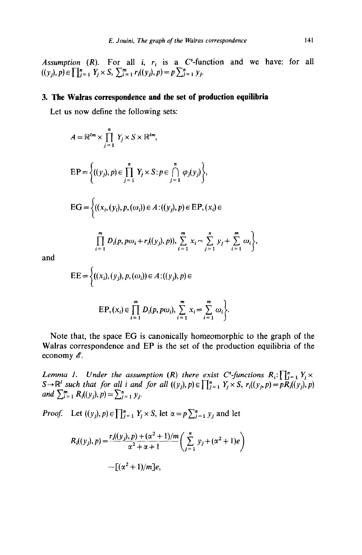*Assumption (R).* For all *i,*  $r_i$  is a C<sup>\*</sup>-function and we have: for all  $((y_j), p) \in \prod_{j=1}^n Y_j \times S$ ,  $\sum_{i=1}^n r_i((y_j), p) = p \sum_{j=1}^n y_j$ .

# 3. **The Walras correspondence and the set of production equilibria**

Let us now define the following sets:

*A=R'"x fi* qxsx Rfm, **j=l**  EP= ((Yj),P)E fi ~XS:PE **f)** CpXYj) <sup>7</sup> **j=l j=l**  EG = ((xi, (YJ, P, (OJ) E A:((Yj), P) E EP> (Xi) E

$$
\prod_{i=1}^{m} D_i(p, p\omega_i + r_i((y_j), p)), \sum_{i=1}^{m} x_i = \sum_{j=1}^{n} y_j + \sum_{i=1}^{m} \omega_i \bigg\},\
$$

and

$$
EE = \left\{ ((x_i), (y_j), p, (\omega_i)) \in A : ((y_j), p) \in
$$
  

$$
EP, (x_i) \in \prod_{i=1}^m D_i(p, p\omega_i), \sum_{i=1}^m x_i = \sum_{i=1}^m \omega_i \right\}.
$$

Note that, the space EG is canonically homeomorphic to the graph of the Walras correspondence and EP is the set of the production equilibria of the economy  $\mathscr{E}$ .

*Lemma 1.* Under the assumption (R) there exist C<sup>s</sup>-functions  $R_i$ :  $\prod_{i=1}^n$ *for all i and for all*  $((y_i), p) \in \prod_{i=1}^n Y_i \times S$ ,  $r_i((y_i, p) = pR_i((y_i),$ *and*  $\sum_{i=1}^{m} R_i((y_j), p) = \sum_{j=1}^{n} y_j$ .

*Proof.* Let  $((y_j), p) \in \prod_{j=1}^n Y_j \times S$ , let  $\alpha = p \sum_{j=1}^n y_j$  and let

$$
R_i((y_j), p) = \frac{r_i((y_j), p) + (\alpha^2 + 1)/m}{\alpha^2 + \alpha + 1} \left( \sum_{j=1}^n y_j + (\alpha^2 + 1)e \right)
$$

$$
- [(\alpha^2 + 1)/m]e,
$$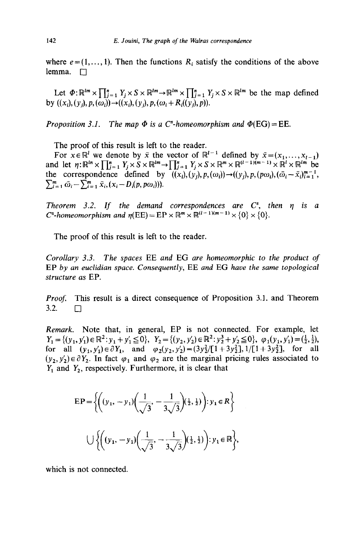where  $e = (1, \ldots, 1)$ . Then the functions  $R_i$  satisfy the conditions of the above lemma.  $\square$ 

Let  $\Phi: \mathbb{R}^{lm} \times \prod_{j=1}^n Y_j \times S \times \mathbb{R}^{lm} \to \mathbb{R}^{lm} \times \prod_{j=1}^n Y_j \times S \times \mathbb{R}^{lm}$  be the map defined by  $((x_i), (y_i), p, (\omega_i)) \rightarrow ((x_i), (y_i), p, (\omega_i + R_i((y_i), p)).$ 

*Proposition 3.1. The map*  $\Phi$  *is a C<sup>\*</sup>-homeomorphism and*  $\Phi$ (EG) = EE.

The proof of this result is left to the reader.

For  $x \in \mathbb{R}^l$  we denote by  $\bar{x}$  the vector of  $\mathbb{R}^{l-1}$  defined by  $\bar{x} = (x_1, \ldots, x_{l-1})$ and let  $\eta: \mathbb{R}^{\ell m} \times \prod_{i=1}^{n} Y_i \times S \times \mathbb{R}^{\ell m} \to \prod_{i=1}^{n} Y_i \times S \times \mathbb{R}^m \times \mathbb{R}^{(\ell-1)(m-1)} \times \mathbb{R}^{\ell} \times \mathbb{R}^{\ell m}$  be the correspondence defined by  $((x_i), (y_i), p, (\omega_i)) \rightarrow ((y_i), p, (p\omega_i), (\bar{\omega}_i - \bar{x}_i)_{i=1}^{m-1},$  $\sum_{i=1}^{m} \bar{\omega}_i - \sum_{i=1}^{m} \bar{x}_i, (x_i - D_i(p, p\omega_i)).$ 

*Theorem 3.2. If the demand correspondences are C", then q is a C*<sup>s</sup>-homeomorphism and  $\eta$ (EE) = EP  $\times \mathbb{R}^m \times \mathbb{R}^{(l-1)(m-1)} \times \{0\} \times \{0\}$ .

The proof of this result is left to the reader.

*Corollary 3.3. The spaces* EE *and* EG *are homeomorphic to the product of*  EP *by an euclidian space. Consequently,* EE *and* EG *have the same topological structure as* EP.

*Proof.* This result is a direct consequence of Proposition 3.1. and Theorem  $3.2. \Box$ 

*Remark.* Note that, in general, EP is not connected. For example, let  $Y_1 = \{(y_1, y_1') \in \mathbb{R}^2 : y_1 + y_1' \leq 0\}, Y_2 = \{(y_2, y_2') \in \mathbb{R}^2 : y_2^3 + y_2' \leq 0\}, \varphi_1(y_1, y_1') = (\frac{1}{2}, \frac{1}{2}),$ for all  $(y_1, y_1) \in \partial Y_1$ , and  $\varphi_2(y_2, y_2) = (3y_2^2/[1 + 3y_2^2], 1/[1 + 3y_2^2]$ , for all  $(y_2, y_2') \in \partial Y_2$ . In fact  $\varphi_1$  and  $\varphi_2$  are the marginal pricing rules associated to  $Y_1$  and  $Y_2$ , respectively. Furthermore, it is clear that

$$
EP = \left\{ \left( (y_1, -y_1) \left( \frac{1}{\sqrt{3}}, -\frac{1}{3\sqrt{3}} \right) (\frac{1}{2}, \frac{1}{2}) \right) : y_1 \in R \right\}
$$
  

$$
\bigcup \left\{ \left( (y_1, -y_1) \left( \frac{1}{\sqrt{3}}, -\frac{1}{3\sqrt{3}} \right) (\frac{1}{2}, \frac{1}{2}) \right) : y_1 \in \mathbb{R} \right\},\
$$

which is not connected.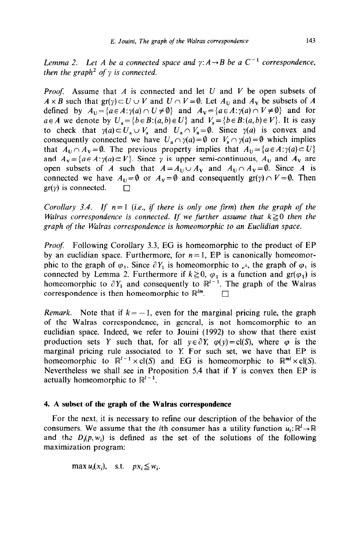*Lemma 2.* Let A be a connected space and  $y: A \rightarrow B$  be a  $C^{-1}$  correspondence, *then the graph<sup>2</sup> of*  $\gamma$  *is connected.* 

*Proof:* Assume that *A* is connected and let U and *V* be open subsets of  $A \times B$  such that  $gr(y) \subset U \cup V$  and  $U \cap V = \emptyset$ . Let  $A_U$  and  $A_V$  be subsets of *A* defined by  $A_U = \{a \in A : \gamma(a) \cap U \neq \emptyset\}$  and  $A_V = \{a \in A : \gamma(a) \cap V \neq \emptyset\}$  and for  $a \in A$  we denote by  $U_a = \{b \in B : (a, b) \in U\}$  and  $V_a = \{b \in B : (a, b) \in V\}$ . It is easy to check that  $\gamma(a) \subset U_a \cup V_a$  and  $U_a \cap V_a = \emptyset$ . Since  $\gamma(a)$  is convex and consequently connected we have  $U_a \cap \gamma(a) = \emptyset$  or  $V_a \cap \gamma(a) = \emptyset$  which implies that  $A_U \cap A_V = \emptyset$ . The previous property implies that  $A_U = \{a \in A : \gamma(a) \subset U\}$ and  $A_V = {a \in A: \gamma(a) \subset V}$ . Since  $\gamma$  is upper semi-continuous,  $A_U$  and  $A_V$  are open subsets of *A* such that  $A = A_U \cup A_V$  and  $A_U \cap A_V = \emptyset$ . Since *A* is connected we have  $A_U = \emptyset$  or  $A_V = \emptyset$  and consequently  $gr(y) \cap V = \emptyset$ . Then  $gr(y)$  is connected.  $\Box$ 

*Corollary 3.4. If*  $n=1$  *(i.e., if there is only one firm) then the graph of the Walras correspondence is connected. If we further assume that*  $k \geq 0$  *then the graph of the Walras correspondence is homeomorphic to an Euclidian space.* 

*Proof:* Following Corollary 3.3, EG is homeomorphic to the product of EP by an euclidian space. Furthermore, for  $n=1$ , EP is canonically homeomorphic to the graph of  $\varphi_1$ . Since  $\partial Y_1$  is homeomorphic to  $\varphi_1$ , the graph of  $\varphi_1$  is connected by Lemma 2. Furthermore if  $k \ge 0$ ,  $\varphi_1$  is a function and  $gr(\varphi_1)$  is homeomorphic to  $\partial Y_1$  and consequently to  $\mathbb{R}^{l-1}$ . The graph of the Walras correspondence is then homeomorphic to  $\mathbb{R}^{lm}$ .

*Remark.* Note that if  $k = -1$ , even for the marginal pricing rule, the graph of the Walras correspondence, in general, is not homeomorphic to an euclidian space. Indeed, we refer to Jouini (1992) to show that there exist production sets Y such that, for all  $y \in \partial Y$ ,  $\varphi(y) = cl(S)$ , where  $\varphi$  is the marginal pricing rule associated to X For such set, we have that EP is homeomorphic to  $\mathbb{R}^{l-1} \times \text{cl}(S)$  and EG is homeomorphic to  $\mathbb{R}^{ml} \times \text{cl}(S)$ . Nevertheless we shall see in Proposition 5.4 that if  $Y$  is convex then EP is actually homeomorphic to  $\mathbb{R}^{l-1}$ .

## **4. A subset of the graph of the Walras correspondence**

For the next. it is necessary to refine our description of the behavior of the consumers. We assume that the *i*th consumer has a utility function  $u_i: \mathbb{R}^l \to \mathbb{R}$ and the  $D_i(p, w_i)$  is defined as the set of the solutions of the following maximization program:

 $\max u_i(x_i)$ , s.t.  $px_i \leq w_i$ .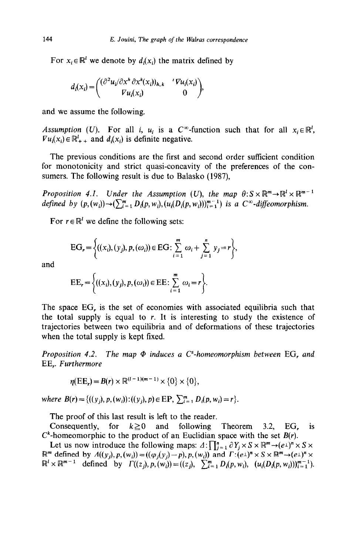For  $x_i \in \mathbb{R}^l$  we denote by  $d_i(x_i)$  the matrix defined by

$$
d_i(x_i) = \begin{pmatrix} (\partial^2 u_i/\partial x^h \partial x^k(x_i))_{h,k} & 'Vu_i(x_i) \\ \nabla u_i(x_i) & 0 \end{pmatrix},
$$

and we assume the following.

*Assumption (U).* For all i,  $u_i$  is a  $C^{\infty}$ -function such that for all  $x_i \in \mathbb{R}^l$ ,  $\nabla u_i(x_i) \in \mathbb{R}_{++}^l$  and  $d_i(x_i)$  is definite negative.

The previous conditions are the first and second order sufficient condition for monotonicity and strict quasi-concavity of the preferences of the consumers. The following result is due to Balasko (1987),

*Proposition 4.1. Under the Assumption (U), the map*  $\theta: S \times \mathbb{R}^m \to \mathbb{R}^l \times \mathbb{R}^{m-1}$ *defined by*  $(p, (w_i)) \rightarrow (\sum_{i=1}^m D_i(p, w_i), (u_i(D_i(p, w_i)))_{i=1}^{m-1})$  is a  $C^{\infty}$ -diffeomorphism.

For  $r \in \mathbb{R}^l$  we define the following sets:

$$
EG_r = \left\{ ((x_i), (y_j), p, (\omega_i)) \in EG : \sum_{i=1}^m \omega_i + \sum_{j=1}^n y_j = r \right\},\
$$

and

$$
EE_r = \left\{ ((x_i), (y_j), p, (\omega_i)) \in EE : \sum_{i=1}^m \omega_i = r \right\}.
$$

The space EG, is the set of economies with associated equilibria such that the total supply is equal to *r.* It is interesting to study the existence of trajectories between two equilibria and of deformations of these trajectories when the total supply is kept fixed.

*Proposition 4.2. The map @ induces a C"-homeomorphism between* EG, *and*  EE,. *Furthermore* 

$$
\eta(\mathbf{EE}_r) = B(r) \times \mathbb{R}^{(l-1)(m-1)} \times \{0\} \times \{0\},\
$$

where  $B(r) = \{((y_i), p, (w_i)) : ((y_i), p) \in \mathbb{E} \mathbb{P}, \sum_{i=1}^m D_i(p, w_i) = r\}.$ 

The proof of this last result is left to the reader.

Consequently, for  $k \ge 0$  and following Theorem 3.2, EG, is  $C^k$ -homeomorphic to the product of an Euclidian space with the set  $B(r)$ .

Let us now introduce the following maps:  $\Delta: \prod_{j=1}^{n} \partial Y_j \times S \times \mathbb{R}^m \rightarrow (e^{\perp})^n \times S \times$  $\mathbb{R}^m$  defined by  $\Lambda((y_j), p, (w_i)) = ((\varphi_j(y_j) - p), p, (w_i))$  and  $\Gamma: (e \bot)^n \times S \times \mathbb{R}^m \rightarrow (e \bot)^n \times S$  $\mathbb{R}^i \times \mathbb{R}^{m-1}$  defined by  $\Gamma((z_j), p, (w_i)) = ((z_j), \sum_{i=1}^m D_i(p, w_i), (u_i(D_i(p, w_i)))_{i=1}^{m-1}).$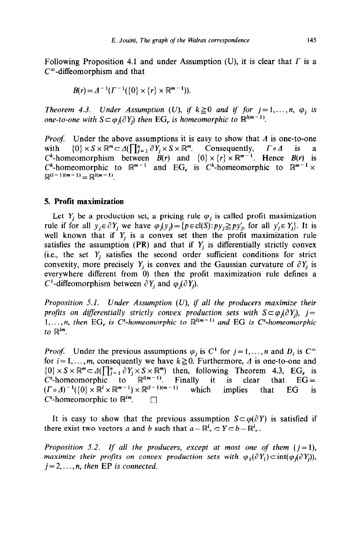Following Proposition 4.1 and under Assumption (U), it is clear that  $\Gamma$  is a  $C^{\infty}$ -diffeomorphism and that

$$
B(r) = \Delta^{-1}(\Gamma^{-1}(\{0\} \times \{r\} \times \mathbb{R}^{m-1})).
$$

*Theorem 4.3. Under Assumption (U), if*  $k \ge 0$  *and if for*  $j = 1, \ldots, n$ *,*  $\varphi_j$  *is one-to-one with*  $S \subset \varphi$ ,  $\partial Y_i$  then **EG**, *is homeomorphic to*  $\mathbb{R}^{l(m-1)}$ .

*Proof.* Under the above assumptions it is easy to show that  $\Lambda$  is one-to-one with  $\{0\} \times S \times \mathbb{R}^m \subset \Lambda(\prod_{i=1}^n \partial Y_i \times S \times \mathbb{R}^m)$ . Consequently,  $\Gamma \circ \Lambda$  is a C<sup>k</sup>-homeomorphism between  $B(r)$  and  $\{0\} \times \{r\} \times \mathbb{R}^{m-1}$ . Hence  $B(r)$  is  $C^k$ -homeomorphic to  $\mathbb{R}^{m-1}$  and EG, is  $C^k$ -homeomorphic to  $\mathbb{R}^{m-1} \times$  $\mathbb{R}^{(l-1)(m-1)} = \mathbb{R}^{l(m-1)}$ 

#### **5. Profit maximization**

Let  $Y_i$  be a production set, a pricing rule  $\varphi_i$  is called profit maximization rule if for all  $y_j \in \partial Y_j$  we have  $\varphi_j(y_j) = \{p \in \text{cl}(S): py_j \geq py'_j$ , for all  $y'_j \in Y_j\}$ . It is well known that if  $Y_i$  is a convex set then the profit maximization rule satisfies the assumption (PR) and that if  $Y_j$  is differentially strictly convex (i.e., the set  $Y_i$  satisfies the second order sufficient conditions for strict convexity, more precisely  $Y_i$  is convex and the Gaussian curvature of  $\partial Y_i$  is everywhere different from 0) then the profit maximization rule defines a C<sup>1</sup>-diffeomorphism between  $\partial Y_i$  and  $\varphi_i(\partial Y_i)$ .

*Proposition 5.1. Under Assumption (U), if all the producers maximize their profits on differentially strictly convex production sets with*  $S \subset \varphi_i(\partial Y_i)$ ,  $j =$  $1, \ldots, n$ , then EG<sub>r</sub> is C<sup>s</sup>-homeomorphic to  $\mathbb{R}^{l(m-1)}$  and EG is C<sup>s</sup>-homeomorphic  $to \mathbb{R}^{lm}$ .

*Proof.* Under the previous assumptions  $\varphi_i$  is  $C^1$  for  $j = 1, ..., n$  and  $D_i$  is  $C^{\infty}$ for  $i = 1, \ldots, m$ , consequently we have  $k \ge 0$ . Furthermore,  $\Delta$  is one-to-one and  $\{0\} \times S \times \mathbb{R}^m \subset \Lambda(\prod_{j=1}^n \partial Y_j \times S \times \mathbb{R}^m)$  then, following Theorem 4.3, EG, is C<sup>\*</sup>-homeomorphic to  $\mathbb{R}^{l(m-1)}$ . Finally it is clear that EG =  $(\Gamma \circ \Delta)^{-1}(\{0\} \times \mathbb{R}^l \times \mathbb{R}^{m-1}) \times \mathbb{R}^{(l-1)(m-1)}$  which implies that EG is  $C^s$ -homeomorphic to  $\mathbb{R}^{lm}$ .  $\Box$ 

It is easy to show that the previous assumption  $S \subset \varphi(\partial Y)$  is satisfied if there exist two vectors *a* and *b* such that  $a - \mathbb{R}^l_+ \subset Y \subset b - \mathbb{R}^l_+$ .

*Proposition 5.2. If all the producers, except at most one of them*  $(j=1)$ *, maximize their profits on convex production sets with*  $\varphi_1(\partial Y_1) \subset \text{int}(\varphi_1(\partial Y_i))$ ,  $j = 2, \ldots, n$ , then EP is connected.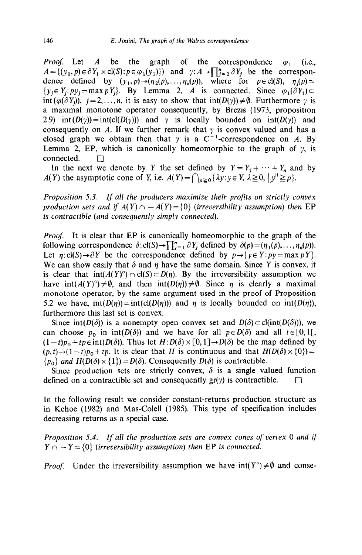*Proof.* Let *A* be the graph of the correspondence  $\varphi_1$  (i.e.,  $A = \{(y_1, p) \in \partial Y_1 \times cl(S) : p \in \varphi_1(y_1)\}\)$  and  $\gamma: A \to \prod_{j=2}^n \partial Y_j$  be the correspondence defined by  $(y_1, p) \rightarrow (\eta_2(p), \dots, \eta_n(p)),$  where for  $p \in \text{cl}(S)$ ,  $\eta_i(p) =$  $\{y_i \in Y_i: py_i = \max pY_i\}$ . By Lemma 2, *A* is connected. Since  $\varphi_1(\partial Y_1) \subset$ int  $(\varphi(\partial Y_i))$ ,  $j=2,\ldots,n$ , it is easy to show that  $\text{int}(D(\gamma)) \neq \emptyset$ . Furthermore  $\gamma$  is a maximal monotone operator consequently, by Brezis (1973, proposition 2.9) int  $(D(y)) = \text{int}(cI(D(y)))$  and y is locally bounded on  $\text{int}(D(y))$  and consequently on *A*. If we further remark that  $\gamma$  is convex valued and has a closed graph we obtain then that  $\gamma$  is a  $C^{-1}$ -correspondence on A. By Lemma 2, EP, which is canonically homeomorphic to the graph of  $\gamma$ , is  $connected. \Box$ 

In the next we denote by Y the set defined by  $Y = Y_1 + \cdots + Y_n$  and by *A(Y)* the asymptotic cone of *Y*, i.e.  $A(Y) = \bigcap_{\rho \geq 0} {\lambda y : y \in Y, \lambda \geq 0, ||y|| \geq \rho}.$ 

*Proposition 5.3. If all the producers maximize their profits on strictly convex production sets and if*  $A(Y) \cap -A(Y) = \{0\}$  (*irreversibility assumption*) then EP *is contractible (and consequently simply connected).* 

*Proof.* It is clear that EP is canonically homeomorphic to the graph of the following correspondence  $\delta$ :cl(S)  $\rightarrow \prod_{i=1}^{n} \partial Y_i$  defined by  $\delta(p) = (n_1(p), \ldots, n_n(p)).$ Let  $\eta$ :cl(S) $\rightarrow \partial Y$  be the correspondence defined by  $p \rightarrow \{y \in Y : py = \max pY\}$ . We can show easily that  $\delta$  and  $\eta$  have the same domain. Since Y is convex, it is clear that  $int(A(Y)^{\circ}) \cap cl(S) \subset D(n)$ . By the irreversibility assumption we have  $int(A(Y)^{\circ}) \neq \emptyset$ , and then  $int(D(\eta)) \neq \emptyset$ . Since  $\eta$  is clearly a maximal monotone operator, by the same argument used in the proof of Proposition 5.2 we have,  $int(D(\eta)) = int(cl(D(\eta)))$  and  $\eta$  is locally bounded on  $int(D(\eta))$ , furthermore this last set is convex.

Since int( $D(\delta)$ ) is a nonempty open convex set and  $D(\delta) \subset cl(int(D(\delta)))$ , we can choose  $p_0$  in  $int(D(\delta))$  and we have for all  $p \in D(\delta)$  and all  $t \in [0, 1]$ ,  $(1-t)p_0 + tp \in \text{int}(D(\delta))$ . Thus let  $H: D(\delta) \times [0, 1] \rightarrow D(\delta)$  be the map defined by  $(p, t) \rightarrow (1 - t)p_0 + tp$ . It is clear that *H* is continuous and that  $H(D(\delta) \times \{0\}) =$  ${p_0}$  *and H(D(* $\delta$ *)* × {1}) = *D(* $\delta$ *)*. Consequently *D(* $\delta$ *)* is contractible.

Since production sets are strictly convex,  $\delta$  is a single valued function defined on a contractible set and consequently  $gr(y)$  is contractible.  $\square$ 

In the following result we consider constant-returns production structure as in Kehoe (1982) and Mas-Colell (1985). This type of specification includes decreasing returns as a special case.

*Proposition 5.4. If all the production sets are convex cones of vertex 0 and if*   $Y \cap -Y = \{0\}$  (*irreversibility assumption*) then EP *is connected.* 

*Proof.* Under the irreversibility assumption we have  $int(Y^{\circ}) \neq \emptyset$  and conse-